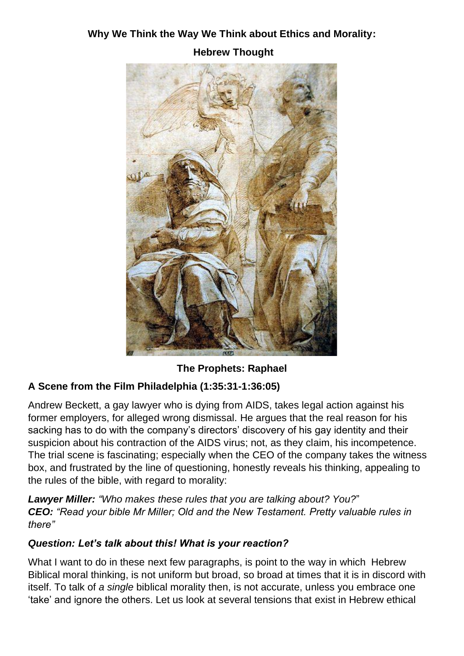# **Why We Think the Way We Think about Ethics and Morality:**





**The Prophets: Raphael**

## **A Scene from the Film Philadelphia (1:35:31-1:36:05)**

Andrew Beckett, a gay lawyer who is dying from AIDS, takes legal action against his former employers, for alleged wrong dismissal. He argues that the real reason for his sacking has to do with the company's directors' discovery of his gay identity and their suspicion about his contraction of the AIDS virus; not, as they claim, his incompetence. The trial scene is fascinating; especially when the CEO of the company takes the witness box, and frustrated by the line of questioning, honestly reveals his thinking, appealing to the rules of the bible, with regard to morality:

*Lawyer Miller: "Who makes these rules that you are talking about? You?*" *CEO: "Read your bible Mr Miller; Old and the New Testament. Pretty valuable rules in there"*

### *Question: Let's talk about this! What is your reaction?*

What I want to do in these next few paragraphs, is point to the way in which Hebrew Biblical moral thinking, is not uniform but broad, so broad at times that it is in discord with itself. To talk of *a single* biblical morality then, is not accurate, unless you embrace one 'take' and ignore the others. Let us look at several tensions that exist in Hebrew ethical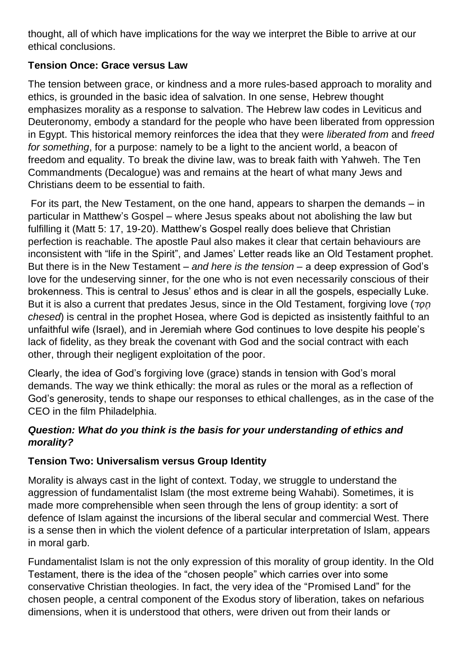thought, all of which have implications for the way we interpret the Bible to arrive at our ethical conclusions.

### **Tension Once: Grace versus Law**

The tension between grace, or kindness and a more rules-based approach to morality and ethics, is grounded in the basic idea of salvation. In one sense, Hebrew thought emphasizes morality as a response to salvation. The Hebrew law codes in Leviticus and Deuteronomy, embody a standard for the people who have been liberated from oppression in Egypt. This historical memory reinforces the idea that they were *liberated from* and *freed for something*, for a purpose: namely to be a light to the ancient world, a beacon of freedom and equality. To break the divine law, was to break faith with Yahweh. The Ten Commandments (Decalogue) was and remains at the heart of what many Jews and Christians deem to be essential to faith.

For its part, the New Testament, on the one hand, appears to sharpen the demands – in particular in Matthew's Gospel – where Jesus speaks about not abolishing the law but fulfilling it (Matt 5: 17, 19-20). Matthew's Gospel really does believe that Christian perfection is reachable. The apostle Paul also makes it clear that certain behaviours are inconsistent with "life in the Spirit", and James' Letter reads like an Old Testament prophet. But there is in the New Testament – *and here is the tension –* a deep expression of God's love for the undeserving sinner, for the one who is not even necessarily conscious of their brokenness. This is central to Jesus' ethos and is clear in all the gospels, especially Luke. But it is also a current that predates Jesus, since in the Old Testament, forgiving love (*TOD chesed*) is central in the prophet Hosea, where God is depicted as insistently faithful to an unfaithful wife (Israel), and in Jeremiah where God continues to love despite his people's lack of fidelity, as they break the covenant with God and the social contract with each other, through their negligent exploitation of the poor.

Clearly, the idea of God's forgiving love (grace) stands in tension with God's moral demands. The way we think ethically: the moral as rules or the moral as a reflection of God's generosity, tends to shape our responses to ethical challenges, as in the case of the CEO in the film Philadelphia.

### *Question: What do you think is the basis for your understanding of ethics and morality?*

## **Tension Two: Universalism versus Group Identity**

Morality is always cast in the light of context. Today, we struggle to understand the aggression of fundamentalist Islam (the most extreme being Wahabi). Sometimes, it is made more comprehensible when seen through the lens of group identity: a sort of defence of Islam against the incursions of the liberal secular and commercial West. There is a sense then in which the violent defence of a particular interpretation of Islam, appears in moral garb.

Fundamentalist Islam is not the only expression of this morality of group identity. In the Old Testament, there is the idea of the "chosen people" which carries over into some conservative Christian theologies. In fact, the very idea of the "Promised Land" for the chosen people, a central component of the Exodus story of liberation, takes on nefarious dimensions, when it is understood that others, were driven out from their lands or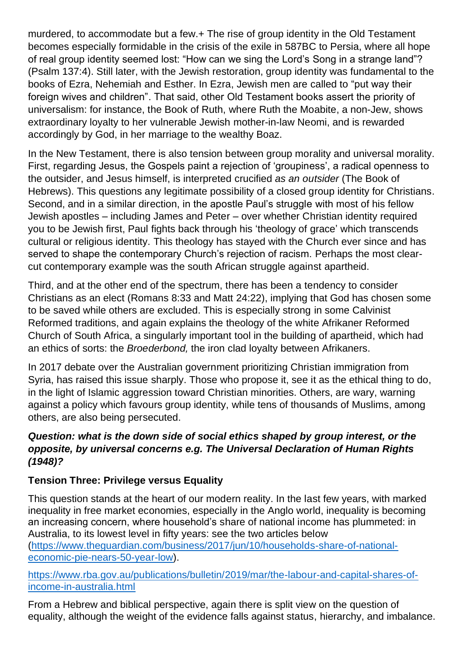murdered, to accommodate but a few.+ The rise of group identity in the Old Testament becomes especially formidable in the crisis of the exile in 587BC to Persia, where all hope of real group identity seemed lost: "How can we sing the Lord's Song in a strange land"? (Psalm 137:4). Still later, with the Jewish restoration, group identity was fundamental to the books of Ezra, Nehemiah and Esther. In Ezra, Jewish men are called to "put way their foreign wives and children". That said, other Old Testament books assert the priority of universalism: for instance, the Book of Ruth, where Ruth the Moabite, a non-Jew, shows extraordinary loyalty to her vulnerable Jewish mother-in-law Neomi, and is rewarded accordingly by God, in her marriage to the wealthy Boaz.

In the New Testament, there is also tension between group morality and universal morality. First, regarding Jesus, the Gospels paint a rejection of 'groupiness', a radical openness to the outsider, and Jesus himself, is interpreted crucified *as an outsider* (The Book of Hebrews). This questions any legitimate possibility of a closed group identity for Christians. Second, and in a similar direction, in the apostle Paul's struggle with most of his fellow Jewish apostles – including James and Peter – over whether Christian identity required you to be Jewish first, Paul fights back through his 'theology of grace' which transcends cultural or religious identity. This theology has stayed with the Church ever since and has served to shape the contemporary Church's rejection of racism. Perhaps the most clearcut contemporary example was the south African struggle against apartheid.

Third, and at the other end of the spectrum, there has been a tendency to consider Christians as an elect (Romans 8:33 and Matt 24:22), implying that God has chosen some to be saved while others are excluded. This is especially strong in some Calvinist Reformed traditions, and again explains the theology of the white Afrikaner Reformed Church of South Africa, a singularly important tool in the building of apartheid, which had an ethics of sorts: the *Broederbond,* the iron clad loyalty between Afrikaners.

In 2017 debate over the Australian government prioritizing Christian immigration from Syria, has raised this issue sharply. Those who propose it, see it as the ethical thing to do, in the light of Islamic aggression toward Christian minorities. Others, are wary, warning against a policy which favours group identity, while tens of thousands of Muslims, among others, are also being persecuted.

#### *Question: what is the down side of social ethics shaped by group interest, or the opposite, by universal concerns e.g. The Universal Declaration of Human Rights (1948)?*

### **Tension Three: Privilege versus Equality**

This question stands at the heart of our modern reality. In the last few years, with marked inequality in free market economies, especially in the Anglo world, inequality is becoming an increasing concern, where household's share of national income has plummeted: in Australia, to its lowest level in fifty years: see the two articles below [\(https://www.theguardian.com/business/2017/jun/10/households-share-of-national](https://www.theguardian.com/business/2017/jun/10/households-share-of-national-economic-pie-nears-50-year-low)[economic-pie-nears-50-year-low\)](https://www.theguardian.com/business/2017/jun/10/households-share-of-national-economic-pie-nears-50-year-low).

[https://www.rba.gov.au/publications/bulletin/2019/mar/the-labour-and-capital-shares-of](https://www.rba.gov.au/publications/bulletin/2019/mar/the-labour-and-capital-shares-of-income-in-australia.html)[income-in-australia.html](https://www.rba.gov.au/publications/bulletin/2019/mar/the-labour-and-capital-shares-of-income-in-australia.html)

From a Hebrew and biblical perspective, again there is split view on the question of equality, although the weight of the evidence falls against status, hierarchy, and imbalance.